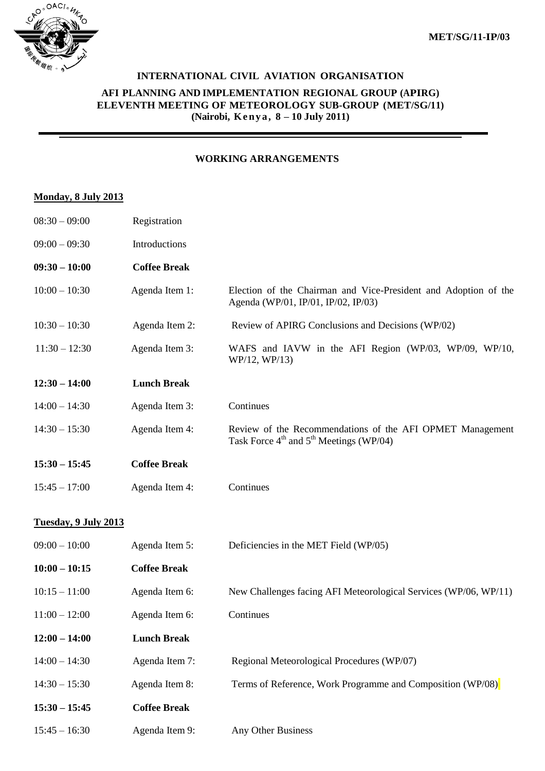

## **INTERNATIONAL CIVIL AVIATION ORGANISATION**

#### **AFI PLANNING AND IMPLEMENTATION REGIONAL GROUP (APIRG) ELEVENTH MEETING OF METEOROLOGY SUB-GROUP (MET/SG/11) (Nairobi, K e n y a , 8 – 10 July 2011)**

## **WORKING ARRANGEMENTS**

#### **Monday, 8 July 2013**

| $08:30 - 09:00$      | Registration        |                                                                                                                              |
|----------------------|---------------------|------------------------------------------------------------------------------------------------------------------------------|
| $09:00 - 09:30$      | Introductions       |                                                                                                                              |
| $09:30 - 10:00$      | <b>Coffee Break</b> |                                                                                                                              |
| $10:00 - 10:30$      | Agenda Item 1:      | Election of the Chairman and Vice-President and Adoption of the<br>Agenda (WP/01, IP/01, IP/02, IP/03)                       |
| $10:30 - 10:30$      | Agenda Item 2:      | Review of APIRG Conclusions and Decisions (WP/02)                                                                            |
| $11:30 - 12:30$      | Agenda Item 3:      | WAFS and IAVW in the AFI Region (WP/03, WP/09, WP/10,<br>WP/12, WP/13)                                                       |
| $12:30 - 14:00$      | <b>Lunch Break</b>  |                                                                                                                              |
| $14:00 - 14:30$      | Agenda Item 3:      | Continues                                                                                                                    |
| $14:30 - 15:30$      | Agenda Item 4:      | Review of the Recommendations of the AFI OPMET Management<br>Task Force $4^{\text{th}}$ and $5^{\text{th}}$ Meetings (WP/04) |
| $15:30 - 15:45$      | <b>Coffee Break</b> |                                                                                                                              |
| $15:45 - 17:00$      | Agenda Item 4:      | Continues                                                                                                                    |
| Tuesday, 9 July 2013 |                     |                                                                                                                              |
| $09:00 - 10:00$      | Agenda Item 5:      | Deficiencies in the MET Field (WP/05)                                                                                        |
| $10:00 - 10:15$      | <b>Coffee Break</b> |                                                                                                                              |
| $10:15 - 11:00$      | Agenda Item 6:      | New Challenges facing AFI Meteorological Services (WP/06, WP/11)                                                             |
| $11:00 - 12:00$      | Agenda Item 6:      | Continues                                                                                                                    |
| $12:00 - 14:00$      | <b>Lunch Break</b>  |                                                                                                                              |
| $14:00 - 14:30$      | Agenda Item 7:      | Regional Meteorological Procedures (WP/07)                                                                                   |
| $14:30 - 15:30$      | Agenda Item 8:      | Terms of Reference, Work Programme and Composition (WP/08)                                                                   |
| $15:30 - 15:45$      | <b>Coffee Break</b> |                                                                                                                              |
| $15:45 - 16:30$      | Agenda Item 9:      | Any Other Business                                                                                                           |